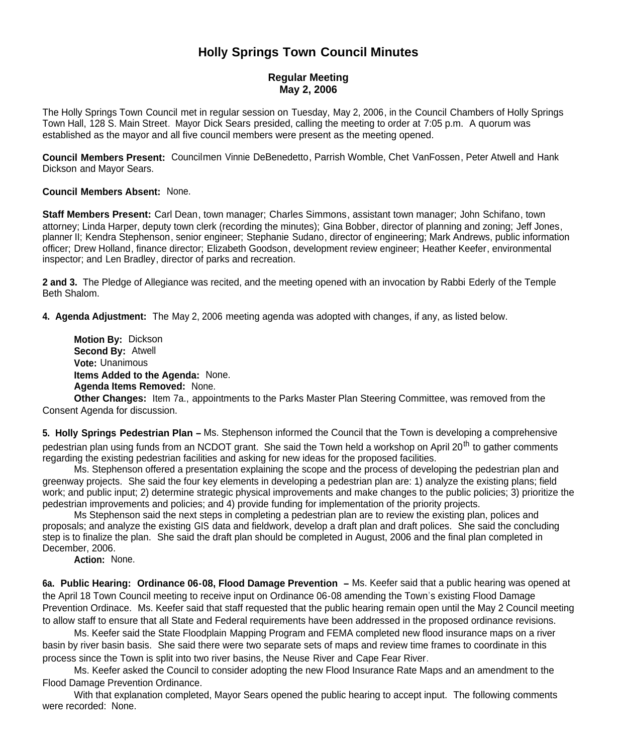## **Holly Springs Town Council Minutes**

## **Regular Meeting May 2, 2006**

The Holly Springs Town Council met in regular session on Tuesday, May 2, 2006, in the Council Chambers of Holly Springs Town Hall, 128 S. Main Street. Mayor Dick Sears presided, calling the meeting to order at 7:05 p.m. A quorum was established as the mayor and all five council members were present as the meeting opened.

**Council Members Present:** Councilmen Vinnie DeBenedetto, Parrish Womble, Chet VanFossen, Peter Atwell and Hank Dickson and Mayor Sears.

**Council Members Absent:** None.

**Staff Members Present:** Carl Dean, town manager; Charles Simmons, assistant town manager; John Schifano, town attorney; Linda Harper, deputy town clerk (recording the minutes); Gina Bobber, director of planning and zoning; Jeff Jones, planner II; Kendra Stephenson, senior engineer; Stephanie Sudano, director of engineering; Mark Andrews, public information officer; Drew Holland, finance director; Elizabeth Goodson, development review engineer; Heather Keefer, environmental inspector; and Len Bradley, director of parks and recreation.

**2 and 3.** The Pledge of Allegiance was recited, and the meeting opened with an invocation by Rabbi Ederly of the Temple Beth Shalom.

**4. Agenda Adjustment:** The May 2, 2006 meeting agenda was adopted with changes, if any, as listed below.

**Motion By:** Dickson **Second By:** Atwell **Vote:** Unanimous **Items Added to the Agenda:** None. **Agenda Items Removed:** None.

**Other Changes:** Item 7a., appointments to the Parks Master Plan Steering Committee, was removed from the Consent Agenda for discussion.

**5. Holly Springs Pedestrian Plan –** Ms. Stephenson informed the Council that the Town is developing a comprehensive pedestrian plan using funds from an NCDOT grant. She said the Town held a workshop on April 20<sup>th</sup> to gather comments regarding the existing pedestrian facilities and asking for new ideas for the proposed facilities.

Ms. Stephenson offered a presentation explaining the scope and the process of developing the pedestrian plan and greenway projects. She said the four key elements in developing a pedestrian plan are: 1) analyze the existing plans; field work; and public input; 2) determine strategic physical improvements and make changes to the public policies; 3) prioritize the pedestrian improvements and policies; and 4) provide funding for implementation of the priority projects.

Ms Stephenson said the next steps in completing a pedestrian plan are to review the existing plan, polices and proposals; and analyze the existing GIS data and fieldwork, develop a draft plan and draft polices. She said the concluding step is to finalize the plan. She said the draft plan should be completed in August, 2006 and the final plan completed in December, 2006.

**Action:** None.

**6a. Public Hearing: Ordinance 06-08, Flood Damage Prevention –** Ms. Keefer said that a public hearing was opened at the April 18 Town Council meeting to receive input on Ordinance 06-08 amending the Town's existing Flood Damage Prevention Ordinace. Ms. Keefer said that staff requested that the public hearing remain open until the May 2 Council meeting to allow staff to ensure that all State and Federal requirements have been addressed in the proposed ordinance revisions.

Ms. Keefer said the State Floodplain Mapping Program and FEMA completed new flood insurance maps on a river basin by river basin basis. She said there were two separate sets of maps and review time frames to coordinate in this process since the Town is split into two river basins, the Neuse River and Cape Fear River.

Ms. Keefer asked the Council to consider adopting the new Flood Insurance Rate Maps and an amendment to the Flood Damage Prevention Ordinance.

With that explanation completed, Mayor Sears opened the public hearing to accept input. The following comments were recorded: None.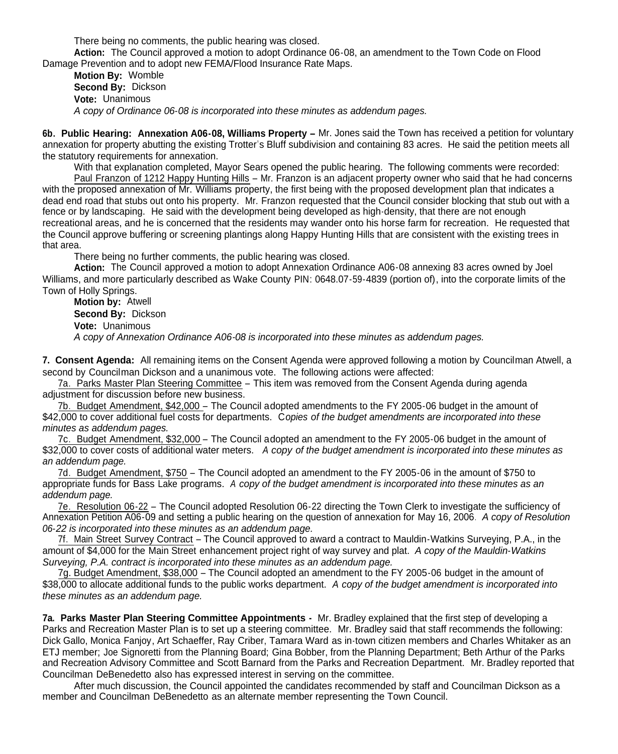There being no comments, the public hearing was closed.

**Action:** The Council approved a motion to adopt Ordinance 06-08, an amendment to the Town Code on Flood Damage Prevention and to adopt new FEMA/Flood Insurance Rate Maps.

**Motion By:** Womble **Second By:** Dickson **Vote:** Unanimous *A copy of Ordinance 06-08 is incorporated into these minutes as addendum pages.*

**6b. Public Hearing: Annexation A06-08, Williams Property –** Mr. Jones said the Town has received a petition for voluntary annexation for property abutting the existing Trotter's Bluff subdivision and containing 83 acres. He said the petition meets all the statutory requirements for annexation.

With that explanation completed, Mayor Sears opened the public hearing. The following comments were recorded: Paul Franzon of 1212 Happy Hunting Hills – Mr. Franzon is an adjacent property owner who said that he had concerns with the proposed annexation of Mr. Williams property, the first being with the proposed development plan that indicates a dead end road that stubs out onto his property. Mr. Franzon requested that the Council consider blocking that stub out with a fence or by landscaping. He said with the development being developed as high-density, that there are not enough recreational areas, and he is concerned that the residents may wander onto his horse farm for recreation. He requested that the Council approve buffering or screening plantings along Happy Hunting Hills that are consistent with the existing trees in that area.

There being no further comments, the public hearing was closed.

**Action:** The Council approved a motion to adopt Annexation Ordinance A06-08 annexing 83 acres owned by Joel Williams, and more particularly described as Wake County PIN: 0648.07-59-4839 (portion of), into the corporate limits of the Town of Holly Springs.

**Motion by:** Atwell **Second By:** Dickson **Vote:** Unanimous *A copy of Annexation Ordinance A06-08 is incorporated into these minutes as addendum pages.*

**7. Consent Agenda:** All remaining items on the Consent Agenda were approved following a motion by Councilman Atwell, a second by Councilman Dickson and a unanimous vote. The following actions were affected:

7a. Parks Master Plan Steering Committee – This item was removed from the Consent Agenda during agenda adjustment for discussion before new business.

7b. Budget Amendment, \$42,000 – The Council adopted amendments to the FY 2005-06 budget in the amount of \$42,000 to cover additional fuel costs for departments. C*opies of the budget amendments are incorporated into these minutes as addendum pages.*

7c. Budget Amendment, \$32,000 – The Council adopted an amendment to the FY 2005-06 budget in the amount of \$32,000 to cover costs of additional water meters. *A copy of the budget amendment is incorporated into these minutes as an addendum page.*

7d. Budget Amendment, \$750 – The Council adopted an amendment to the FY 2005-06 in the amount of \$750 to appropriate funds for Bass Lake programs. *A copy of the budget amendment is incorporated into these minutes as an addendum page.*

7e. Resolution 06-22 – The Council adopted Resolution 06-22 directing the Town Clerk to investigate the sufficiency of Annexation Petition A06-09 and setting a public hearing on the question of annexation for May 16, 2006. *A copy of Resolution 06-22 is incorporated into these minutes as an addendum page.*

7f. Main Street Survey Contract – The Council approved to award a contract to Mauldin-Watkins Surveying, P.A., in the amount of \$4,000 for the Main Street enhancement project right of way survey and plat. *A copy of the Mauldin-Watkins Surveying, P.A. contract is incorporated into these minutes as an addendum page.*

7g. Budget Amendment, \$38,000 – The Council adopted an amendment to the FY 2005-06 budget in the amount of \$38,000 to allocate additional funds to the public works department. *A copy of the budget amendment is incorporated into these minutes as an addendum page.*

**7a. Parks Master Plan Steering Committee Appointments -** Mr. Bradley explained that the first step of developing a Parks and Recreation Master Plan is to set up a steering committee. Mr. Bradley said that staff recommends the following: Dick Gallo, Monica Fanjoy, Art Schaeffer, Ray Criber, Tamara Ward as in-town citizen members and Charles Whitaker as an ETJ member; Joe Signoretti from the Planning Board; Gina Bobber, from the Planning Department; Beth Arthur of the Parks and Recreation Advisory Committee and Scott Barnard from the Parks and Recreation Department. Mr. Bradley reported that Councilman DeBenedetto also has expressed interest in serving on the committee.

After much discussion, the Council appointed the candidates recommended by staff and Councilman Dickson as a member and Councilman DeBenedetto as an alternate member representing the Town Council.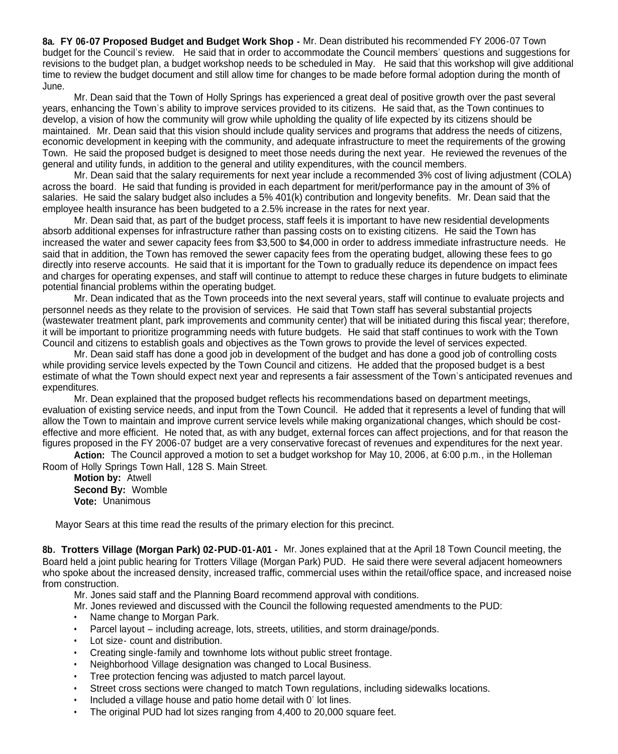**8a. FY 06-07 Proposed Budget and Budget Work Shop -** Mr. Dean distributed his recommended FY 2006-07 Town budget for the Council's review. He said that in order to accommodate the Council members' questions and suggestions for revisions to the budget plan, a budget workshop needs to be scheduled in May. He said that this workshop will give additional time to review the budget document and still allow time for changes to be made before formal adoption during the month of June.

Mr. Dean said that the Town of Holly Springs has experienced a great deal of positive growth over the past several years, enhancing the Town's ability to improve services provided to its citizens. He said that, as the Town continues to develop, a vision of how the community will grow while upholding the quality of life expected by its citizens should be maintained. Mr. Dean said that this vision should include quality services and programs that address the needs of citizens, economic development in keeping with the community, and adequate infrastructure to meet the requirements of the growing Town. He said the proposed budget is designed to meet those needs during the next year. He reviewed the revenues of the general and utility funds, in addition to the general and utility expenditures, with the council members.

Mr. Dean said that the salary requirements for next year include a recommended 3% cost of living adjustment (COLA) across the board. He said that funding is provided in each department for merit/performance pay in the amount of 3% of salaries. He said the salary budget also includes a 5% 401(k) contribution and longevity benefits. Mr. Dean said that the employee health insurance has been budgeted to a 2.5% increase in the rates for next year.

Mr. Dean said that, as part of the budget process, staff feels it is important to have new residential developments absorb additional expenses for infrastructure rather than passing costs on to existing citizens. He said the Town has increased the water and sewer capacity fees from \$3,500 to \$4,000 in order to address immediate infrastructure needs. He said that in addition, the Town has removed the sewer capacity fees from the operating budget, allowing these fees to go directly into reserve accounts. He said that it is important for the Town to gradually reduce its dependence on impact fees and charges for operating expenses, and staff will continue to attempt to reduce these charges in future budgets to eliminate potential financial problems within the operating budget.

Mr. Dean indicated that as the Town proceeds into the next several years, staff will continue to evaluate projects and personnel needs as they relate to the provision of services. He said that Town staff has several substantial projects (wastewater treatment plant, park improvements and community center) that will be initiated during this fiscal year; therefore, it will be important to prioritize programming needs with future budgets. He said that staff continues to work with the Town Council and citizens to establish goals and objectives as the Town grows to provide the level of services expected.

Mr. Dean said staff has done a good job in development of the budget and has done a good job of controlling costs while providing service levels expected by the Town Council and citizens. He added that the proposed budget is a best estimate of what the Town should expect next year and represents a fair assessment of the Town's anticipated revenues and expenditures.

Mr. Dean explained that the proposed budget reflects his recommendations based on department meetings, evaluation of existing service needs, and input from the Town Council. He added that it represents a level of funding that will allow the Town to maintain and improve current service levels while making organizational changes, which should be costeffective and more efficient. He noted that, as with any budget, external forces can affect projections, and for that reason the figures proposed in the FY 2006-07 budget are a very conservative forecast of revenues and expenditures for the next year.

**Action:** The Council approved a motion to set a budget workshop for May 10, 2006, at 6:00 p.m., in the Holleman Room of Holly Springs Town Hall, 128 S. Main Street.

**Motion by:** Atwell **Second By:** Womble **Vote:** Unanimous

Mayor Sears at this time read the results of the primary election for this precinct.

**8b. Trotters Village (Morgan Park) 02-PUD-01-A01 -** Mr. Jones explained that at the April 18 Town Council meeting, the Board held a joint public hearing for Trotters Village (Morgan Park) PUD. He said there were several adjacent homeowners who spoke about the increased density, increased traffic, commercial uses within the retail/office space, and increased noise from construction.

Mr. Jones said staff and the Planning Board recommend approval with conditions.

- Mr. Jones reviewed and discussed with the Council the following requested amendments to the PUD:
- Name change to Morgan Park.
- Parcel layout including acreage, lots, streets, utilities, and storm drainage/ponds.
- Lot size- count and distribution.
- Creating single-family and townhome lots without public street frontage.
- Neighborhood Village designation was changed to Local Business.
- Tree protection fencing was adjusted to match parcel layout.
- Street cross sections were changed to match Town regulations, including sidewalks locations.
- Included a village house and patio home detail with 0' lot lines.
- The original PUD had lot sizes ranging from 4,400 to 20,000 square feet.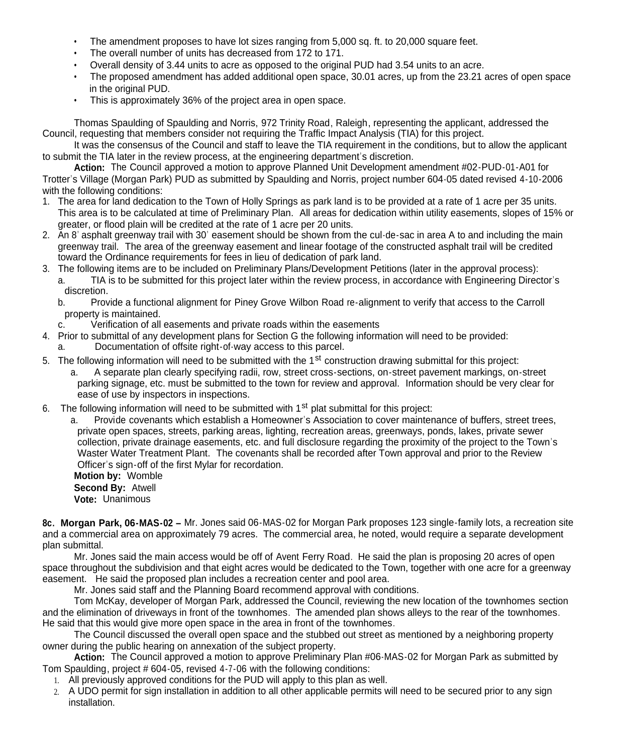- The amendment proposes to have lot sizes ranging from 5,000 sq. ft. to 20,000 square feet.
- The overall number of units has decreased from 172 to 171.
- Overall density of 3.44 units to acre as opposed to the original PUD had 3.54 units to an acre.
- The proposed amendment has added additional open space, 30.01 acres, up from the 23.21 acres of open space in the original PUD.
- This is approximately 36% of the project area in open space.

Thomas Spaulding of Spaulding and Norris, 972 Trinity Road, Raleigh, representing the applicant, addressed the Council, requesting that members consider not requiring the Traffic Impact Analysis (TIA) for this project.

It was the consensus of the Council and staff to leave the TIA requirement in the conditions, but to allow the applicant to submit the TIA later in the review process, at the engineering department's discretion.

**Action:** The Council approved a motion to approve Planned Unit Development amendment #02-PUD-01-A01 for Trotter's Village (Morgan Park) PUD as submitted by Spaulding and Norris, project number 604-05 dated revised 4-10-2006 with the following conditions:

- 1. The area for land dedication to the Town of Holly Springs as park land is to be provided at a rate of 1 acre per 35 units. This area is to be calculated at time of Preliminary Plan. All areas for dedication within utility easements, slopes of 15% or greater, or flood plain will be credited at the rate of 1 acre per 20 units.
- 2. An 8' asphalt greenway trail with 30' easement should be shown from the cul-de-sac in area A to and including the main greenway trail. The area of the greenway easement and linear footage of the constructed asphalt trail will be credited toward the Ordinance requirements for fees in lieu of dedication of park land.
- 3. The following items are to be included on Preliminary Plans/Development Petitions (later in the approval process): a. TIA is to be submitted for this project later within the review process, in accordance with Engineering Director's discretion.
	- b. Provide a functional alignment for Piney Grove Wilbon Road re-alignment to verify that access to the Carroll property is maintained.
	- c. Verification of all easements and private roads within the easements
- 4. Prior to submittal of any development plans for Section G the following information will need to be provided:
	- Documentation of offsite right-of-way access to this parcel.
- 5. The following information will need to be submitted with the 1<sup>st</sup> construction drawing submittal for this project: a. A separate plan clearly specifying radii, row, street cross-sections, on-street pavement markings, on-street parking signage, etc. must be submitted to the town for review and approval. Information should be very clear for ease of use by inspectors in inspections.
- 6. The following information will need to be submitted with  $1<sup>st</sup>$  plat submittal for this project:

a. Provide covenants which establish a Homeowner's Association to cover maintenance of buffers, street trees, private open spaces, streets, parking areas, lighting, recreation areas, greenways, ponds, lakes, private sewer collection, private drainage easements, etc. and full disclosure regarding the proximity of the project to the Town's Waster Water Treatment Plant. The covenants shall be recorded after Town approval and prior to the Review Officer's sign-off of the first Mylar for recordation.

**Motion by:** Womble **Second By:** Atwell **Vote:** Unanimous

**8c. Morgan Park, 06-MAS-02 –** Mr. Jones said 06-MAS-02 for Morgan Park proposes 123 single-family lots, a recreation site and a commercial area on approximately 79 acres. The commercial area, he noted, would require a separate development plan submittal.

Mr. Jones said the main access would be off of Avent Ferry Road. He said the plan is proposing 20 acres of open space throughout the subdivision and that eight acres would be dedicated to the Town, together with one acre for a greenway easement. He said the proposed plan includes a recreation center and pool area.

Mr. Jones said staff and the Planning Board recommend approval with conditions.

Tom McKay, developer of Morgan Park, addressed the Council, reviewing the new location of the townhomes section and the elimination of driveways in front of the townhomes. The amended plan shows alleys to the rear of the townhomes. He said that this would give more open space in the area in front of the townhomes.

The Council discussed the overall open space and the stubbed out street as mentioned by a neighboring property owner during the public hearing on annexation of the subject property.

**Action:** The Council approved a motion to approve Preliminary Plan #06-MAS-02 for Morgan Park as submitted by Tom Spaulding, project # 604-05, revised 4-7-06 with the following conditions:

- 1. All previously approved conditions for the PUD will apply to this plan as well.
- 2. A UDO permit for sign installation in addition to all other applicable permits will need to be secured prior to any sign installation.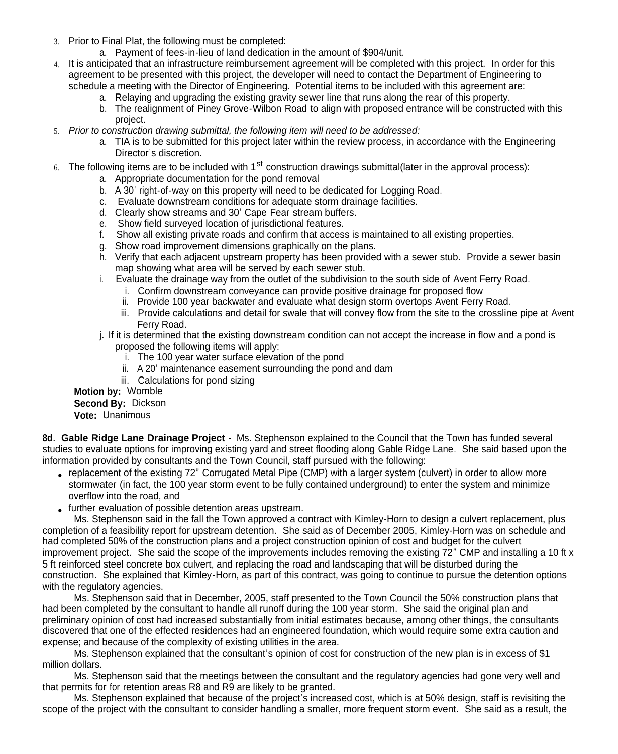- 3. Prior to Final Plat, the following must be completed:
	- a. Payment of fees-in-lieu of land dedication in the amount of \$904/unit.
- 4. It is anticipated that an infrastructure reimbursement agreement will be completed with this project. In order for this agreement to be presented with this project, the developer will need to contact the Department of Engineering to schedule a meeting with the Director of Engineering. Potential items to be included with this agreement are:
	- a. Relaying and upgrading the existing gravity sewer line that runs along the rear of this property.
	- b. The realignment of Piney Grove-Wilbon Road to align with proposed entrance will be constructed with this project.
- 5. *Prior to construction drawing submittal, the following item will need to be addressed:*
	- a. TIA is to be submitted for this project later within the review process, in accordance with the Engineering Director's discretion.
- The following items are to be included with 1<sup>st</sup> construction drawings submittal(later in the approval process):
	- a. Appropriate documentation for the pond removal
	- b. A 30' right-of-way on this property will need to be dedicated for Logging Road.
	- c. Evaluate downstream conditions for adequate storm drainage facilities.
	- d. Clearly show streams and 30' Cape Fear stream buffers.
	- e. Show field surveyed location of jurisdictional features.
	- f. Show all existing private roads and confirm that access is maintained to all existing properties.
	- g. Show road improvement dimensions graphically on the plans.
	- h. Verify that each adjacent upstream property has been provided with a sewer stub. Provide a sewer basin map showing what area will be served by each sewer stub.
	- i. Evaluate the drainage way from the outlet of the subdivision to the south side of Avent Ferry Road.
		- i. Confirm downstream conveyance can provide positive drainage for proposed flow
		- ii. Provide 100 year backwater and evaluate what design storm overtops Avent Ferry Road.
		- iii. Provide calculations and detail for swale that will convey flow from the site to the crossline pipe at Avent Ferry Road.
	- j. If it is determined that the existing downstream condition can not accept the increase in flow and a pond is proposed the following items will apply:
		- i. The 100 year water surface elevation of the pond
		- ii. A 20' maintenance easement surrounding the pond and dam
		- iii. Calculations for pond sizing

**Motion by:** Womble **Second By:** Dickson

**Vote:** Unanimous

**8d. Gable Ridge Lane Drainage Project -** Ms. Stephenson explained to the Council that the Town has funded several studies to evaluate options for improving existing vard and street flooding along Gable Ridge Lane. She said based upon the information provided by consultants and the Town Council, staff pursued with the following:

- replacement of the existing 72" Corrugated Metal Pipe (CMP) with a larger system (culvert) in order to allow more stormwater (in fact, the 100 year storm event to be fully contained underground) to enter the system and minimize overflow into the road, and
- further evaluation of possible detention areas upstream.

Ms. Stephenson said in the fall the Town approved a contract with Kimley-Horn to design a culvert replacement, plus completion of a feasibility report for upstream detention. She said as of December 2005, Kimley-Horn was on schedule and had completed 50% of the construction plans and a project construction opinion of cost and budget for the culvert improvement project. She said the scope of the improvements includes removing the existing 72" CMP and installing a 10 ft x 5 ft reinforced steel concrete box culvert, and replacing the road and landscaping that will be disturbed during the construction. She explained that Kimley-Horn, as part of this contract, was going to continue to pursue the detention options with the regulatory agencies.

Ms. Stephenson said that in December, 2005, staff presented to the Town Council the 50% construction plans that had been completed by the consultant to handle all runoff during the 100 year storm. She said the original plan and preliminary opinion of cost had increased substantially from initial estimates because, among other things, the consultants discovered that one of the effected residences had an engineered foundation, which would require some extra caution and expense; and because of the complexity of existing utilities in the area.

Ms. Stephenson explained that the consultant's opinion of cost for construction of the new plan is in excess of \$1 million dollars.

Ms. Stephenson said that the meetings between the consultant and the regulatory agencies had gone very well and that permits for for retention areas R8 and R9 are likely to be granted.

Ms. Stephenson explained that because of the project's increased cost, which is at 50% design, staff is revisiting the scope of the project with the consultant to consider handling a smaller, more frequent storm event. She said as a result, the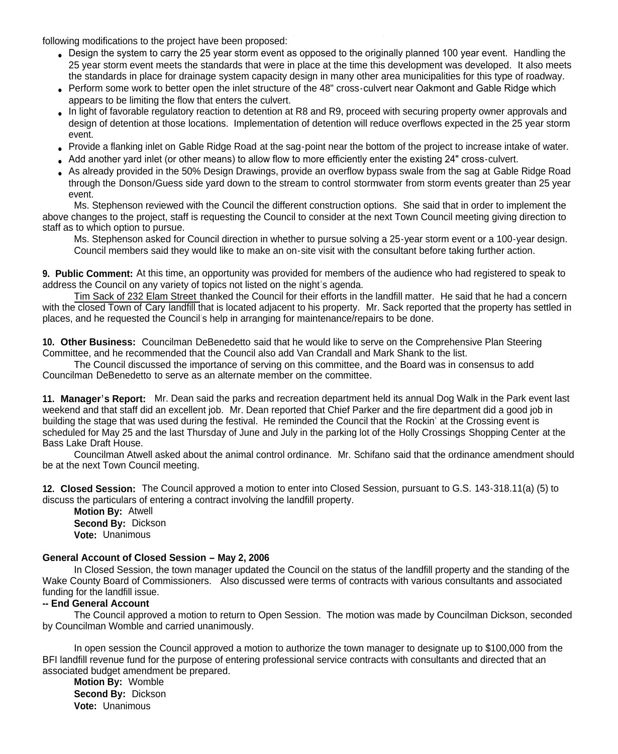following modifications to the project have been proposed:

- Design the system to carry the 25 year storm event as opposed to the originally planned 100 year event. Handling the 25 year storm event meets the standards that were in place at the time this development was developed. It also meets the standards in place for drainage system capacity design in many other area municipalities for this type of roadway.
- Perform some work to better open the inlet structure of the 48" cross-culvert near Oakmont and Gable Ridge which appears to be limiting the flow that enters the culvert.
- In light of favorable regulatory reaction to detention at R8 and R9, proceed with securing property owner approvals and design of detention at those locations. Implementation of detention will reduce overflows expected in the 25 year storm event.
- Provide a flanking inlet on Gable Ridge Road at the sag-point near the bottom of the project to increase intake of water.
- Add another yard inlet (or other means) to allow flow to more efficiently enter the existing 24" cross-culvert.
- As already provided in the 50% Design Drawings, provide an overflow bypass swale from the sag at Gable Ridge Road through the Donson/Guess side yard down to the stream to control stormwater from storm events greater than 25 year event.

Ms. Stephenson reviewed with the Council the different construction options. She said that in order to implement the above changes to the project, staff is requesting the Council to consider at the next Town Council meeting giving direction to staff as to which option to pursue.

Ms. Stephenson asked for Council direction in whether to pursue solving a 25-year storm event or a 100-year design. Council members said they would like to make an on-site visit with the consultant before taking further action.

**9. Public Comment:** At this time, an opportunity was provided for members of the audience who had registered to speak to address the Council on any variety of topics not listed on the night's agenda.

Tim Sack of 232 Elam Street thanked the Council for their efforts in the landfill matter. He said that he had a concern with the closed Town of Cary landfill that is located adjacent to his property. Mr. Sack reported that the property has settled in places, and he requested the Council's help in arranging for maintenance/repairs to be done.

**10. Other Business:** Councilman DeBenedetto said that he would like to serve on the Comprehensive Plan Steering Committee, and he recommended that the Council also add Van Crandall and Mark Shank to the list.

The Council discussed the importance of serving on this committee, and the Board was in consensus to add Councilman DeBenedetto to serve as an alternate member on the committee.

**11. Manager's Report:** Mr. Dean said the parks and recreation department held its annual Dog Walk in the Park event last weekend and that staff did an excellent job. Mr. Dean reported that Chief Parker and the fire department did a good job in building the stage that was used during the festival. He reminded the Council that the Rockin' at the Crossing event is scheduled for May 25 and the last Thursday of June and July in the parking lot of the Holly Crossings Shopping Center at the Bass Lake Draft House.

Councilman Atwell asked about the animal control ordinance. Mr. Schifano said that the ordinance amendment should be at the next Town Council meeting.

**12. Closed Session:** The Council approved a motion to enter into Closed Session, pursuant to G.S. 143-318.11(a) (5) to discuss the particulars of entering a contract involving the landfill property.

**Motion By:** Atwell **Second By:** Dickson **Vote:** Unanimous

## **General Account of Closed Session – May 2, 2006**

In Closed Session, the town manager updated the Council on the status of the landfill property and the standing of the Wake County Board of Commissioners. Also discussed were terms of contracts with various consultants and associated funding for the landfill issue.

## **-- End General Account**

The Council approved a motion to return to Open Session. The motion was made by Councilman Dickson, seconded by Councilman Womble and carried unanimously.

In open session the Council approved a motion to authorize the town manager to designate up to \$100,000 from the BFI landfill revenue fund for the purpose of entering professional service contracts with consultants and directed that an associated budget amendment be prepared.

**Motion By:** Womble **Second By:** Dickson **Vote:** Unanimous